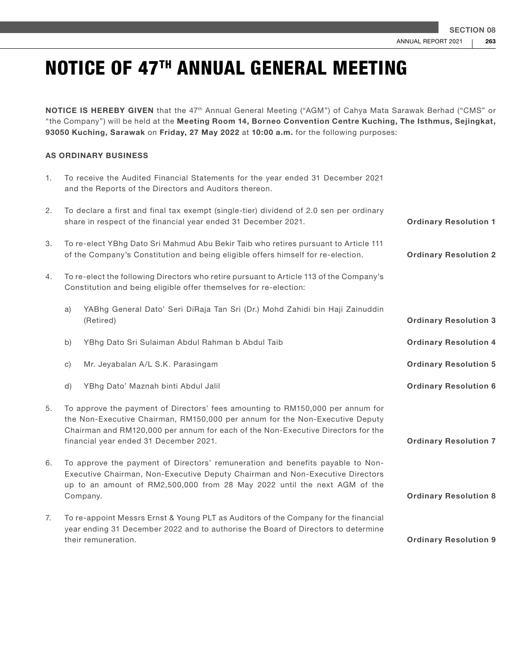NOTICE IS HEREBY GIVEN that the 47<sup>th</sup> Annual General Meeting ("AGM") of Cahya Mata Sarawak Berhad ("CMS" or "the Company") will be held at the Meeting Room 14, Borneo Convention Centre Kuching, The Isthmus, Sejingkat, 93050 Kuching, Sarawak on Friday, 27 May 2022 at 10:00 a.m. for the following purposes:

#### AS ORDINARY BUSINESS

| 1. |                                                                                                                                                                                                                                                                                              | To receive the Audited Financial Statements for the year ended 31 December 2021<br>and the Reports of the Directors and Auditors thereon.                                                       |                              |
|----|----------------------------------------------------------------------------------------------------------------------------------------------------------------------------------------------------------------------------------------------------------------------------------------------|-------------------------------------------------------------------------------------------------------------------------------------------------------------------------------------------------|------------------------------|
| 2. |                                                                                                                                                                                                                                                                                              | To declare a first and final tax exempt (single-tier) dividend of 2.0 sen per ordinary<br>share in respect of the financial year ended 31 December 2021.                                        | <b>Ordinary Resolution 1</b> |
| 3. | To re-elect YBhg Dato Sri Mahmud Abu Bekir Taib who retires pursuant to Article 111<br>of the Company's Constitution and being eligible offers himself for re-election.                                                                                                                      |                                                                                                                                                                                                 | <b>Ordinary Resolution 2</b> |
| 4. |                                                                                                                                                                                                                                                                                              | To re-elect the following Directors who retire pursuant to Article 113 of the Company's<br>Constitution and being eligible offer themselves for re-election:                                    |                              |
|    | a)                                                                                                                                                                                                                                                                                           | YABhg General Dato' Seri DiRaja Tan Sri (Dr.) Mohd Zahidi bin Haji Zainuddin<br>(Retired)                                                                                                       | <b>Ordinary Resolution 3</b> |
|    | b)                                                                                                                                                                                                                                                                                           | YBhg Dato Sri Sulaiman Abdul Rahman b Abdul Taib                                                                                                                                                | <b>Ordinary Resolution 4</b> |
|    | $\mathsf{C}$                                                                                                                                                                                                                                                                                 | Mr. Jeyabalan A/L S.K. Parasingam                                                                                                                                                               | <b>Ordinary Resolution 5</b> |
|    | d)                                                                                                                                                                                                                                                                                           | YBhg Dato' Maznah binti Abdul Jalil                                                                                                                                                             | <b>Ordinary Resolution 6</b> |
| 5. | To approve the payment of Directors' fees amounting to RM150,000 per annum for<br>the Non-Executive Chairman, RM150,000 per annum for the Non-Executive Deputy<br>Chairman and RM120,000 per annum for each of the Non-Executive Directors for the<br>financial year ended 31 December 2021. |                                                                                                                                                                                                 | <b>Ordinary Resolution 7</b> |
| 6. | To approve the payment of Directors' remuneration and benefits payable to Non-<br>Executive Chairman, Non-Executive Deputy Chairman and Non-Executive Directors<br>up to an amount of RM2,500,000 from 28 May 2022 until the next AGM of the<br>Company.                                     |                                                                                                                                                                                                 | <b>Ordinary Resolution 8</b> |
| 7. |                                                                                                                                                                                                                                                                                              | To re-appoint Messrs Ernst & Young PLT as Auditors of the Company for the financial<br>year ending 31 December 2022 and to authorise the Board of Directors to determine<br>their remuneration. | <b>Ordinary Resolution 9</b> |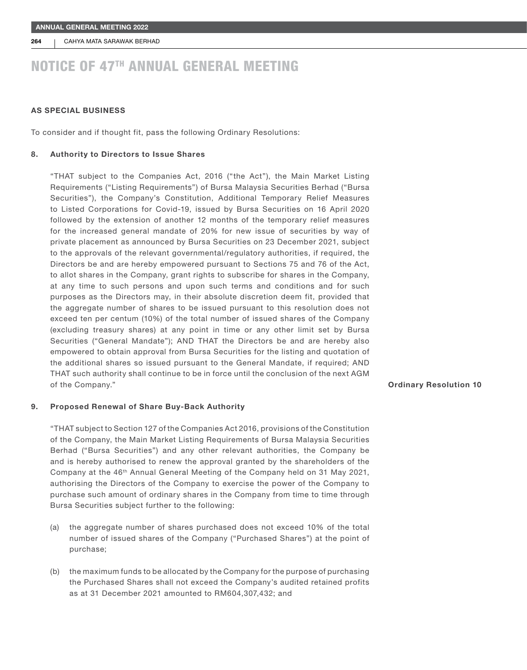264 CAHYA MATA SARAWAK BERHAD

### NOTICE OF 47TH ANNUAL GENERAL MEETING

#### AS SPECIAL BUSINESS

To consider and if thought fit, pass the following Ordinary Resolutions:

#### 8. Authority to Directors to Issue Shares

"THAT subject to the Companies Act, 2016 ("the Act"), the Main Market Listing Requirements ("Listing Requirements") of Bursa Malaysia Securities Berhad ("Bursa Securities"), the Company's Constitution, Additional Temporary Relief Measures to Listed Corporations for Covid-19, issued by Bursa Securities on 16 April 2020 followed by the extension of another 12 months of the temporary relief measures for the increased general mandate of 20% for new issue of securities by way of private placement as announced by Bursa Securities on 23 December 2021, subject to the approvals of the relevant governmental/regulatory authorities, if required, the Directors be and are hereby empowered pursuant to Sections 75 and 76 of the Act, to allot shares in the Company, grant rights to subscribe for shares in the Company, at any time to such persons and upon such terms and conditions and for such purposes as the Directors may, in their absolute discretion deem fit, provided that the aggregate number of shares to be issued pursuant to this resolution does not exceed ten per centum (10%) of the total number of issued shares of the Company (excluding treasury shares) at any point in time or any other limit set by Bursa Securities ("General Mandate"); AND THAT the Directors be and are hereby also empowered to obtain approval from Bursa Securities for the listing and quotation of the additional shares so issued pursuant to the General Mandate, if required; AND THAT such authority shall continue to be in force until the conclusion of the next AGM of the Company."

#### 9. Proposed Renewal of Share Buy-Back Authority

"THAT subject to Section 127 of the Companies Act 2016, provisions of the Constitution of the Company, the Main Market Listing Requirements of Bursa Malaysia Securities Berhad ("Bursa Securities") and any other relevant authorities, the Company be and is hereby authorised to renew the approval granted by the shareholders of the Company at the 46th Annual General Meeting of the Company held on 31 May 2021, authorising the Directors of the Company to exercise the power of the Company to purchase such amount of ordinary shares in the Company from time to time through Bursa Securities subject further to the following:

- (a) the aggregate number of shares purchased does not exceed 10% of the total number of issued shares of the Company ("Purchased Shares") at the point of purchase;
- (b) the maximum funds to be allocated by the Company for the purpose of purchasing the Purchased Shares shall not exceed the Company's audited retained profits as at 31 December 2021 amounted to RM604,307,432; and

#### Ordinary Resolution 10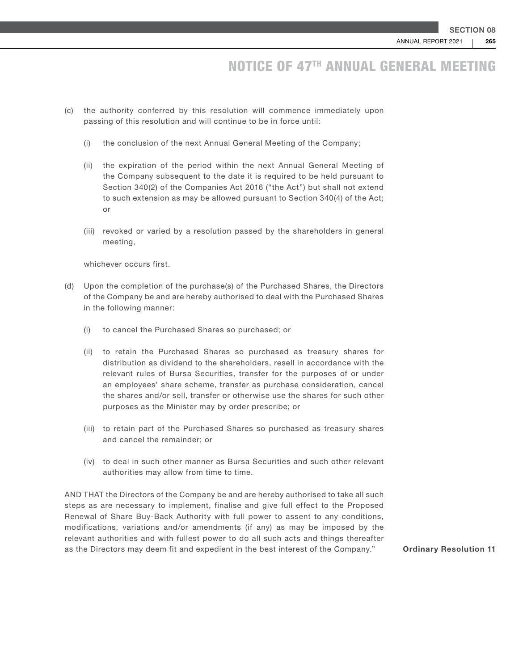- (c) the authority conferred by this resolution will commence immediately upon passing of this resolution and will continue to be in force until:
	- (i) the conclusion of the next Annual General Meeting of the Company;
	- (ii) the expiration of the period within the next Annual General Meeting of the Company subsequent to the date it is required to be held pursuant to Section 340(2) of the Companies Act 2016 ("the Act") but shall not extend to such extension as may be allowed pursuant to Section 340(4) of the Act; or
	- (iii) revoked or varied by a resolution passed by the shareholders in general meeting,

whichever occurs first.

- (d) Upon the completion of the purchase(s) of the Purchased Shares, the Directors of the Company be and are hereby authorised to deal with the Purchased Shares in the following manner:
	- (i) to cancel the Purchased Shares so purchased; or
	- (ii) to retain the Purchased Shares so purchased as treasury shares for distribution as dividend to the shareholders, resell in accordance with the relevant rules of Bursa Securities, transfer for the purposes of or under an employees' share scheme, transfer as purchase consideration, cancel the shares and/or sell, transfer or otherwise use the shares for such other purposes as the Minister may by order prescribe; or
	- (iii) to retain part of the Purchased Shares so purchased as treasury shares and cancel the remainder; or
	- (iv) to deal in such other manner as Bursa Securities and such other relevant authorities may allow from time to time.

AND THAT the Directors of the Company be and are hereby authorised to take all such steps as are necessary to implement, finalise and give full effect to the Proposed Renewal of Share Buy-Back Authority with full power to assent to any conditions, modifications, variations and/or amendments (if any) as may be imposed by the relevant authorities and with fullest power to do all such acts and things thereafter as the Directors may deem fit and expedient in the best interest of the Company." Ordinary Resolution 11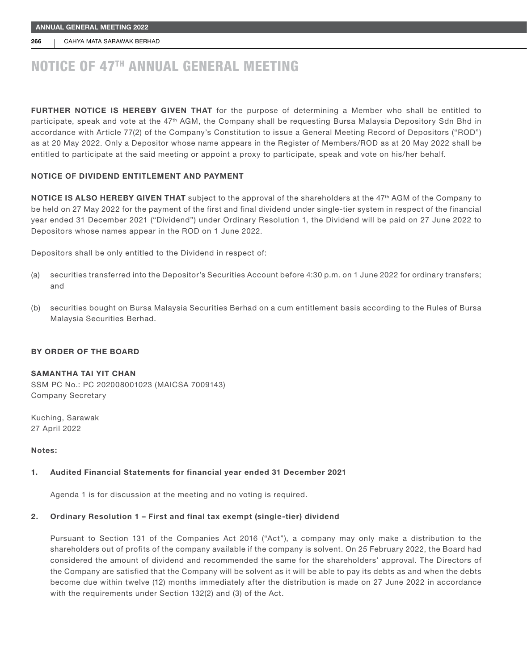266 | CAHYA MATA SARAWAK BERHAD

# NOTICE OF 47TH ANNUAL GENERAL MEETING

FURTHER NOTICE IS HEREBY GIVEN THAT for the purpose of determining a Member who shall be entitled to participate, speak and vote at the 47<sup>th</sup> AGM, the Company shall be requesting Bursa Malaysia Depository Sdn Bhd in accordance with Article 77(2) of the Company's Constitution to issue a General Meeting Record of Depositors ("ROD") as at 20 May 2022. Only a Depositor whose name appears in the Register of Members/ROD as at 20 May 2022 shall be entitled to participate at the said meeting or appoint a proxy to participate, speak and vote on his/her behalf.

#### NOTICE OF DIVIDEND ENTITLEMENT AND PAYMENT

NOTICE IS ALSO HEREBY GIVEN THAT subject to the approval of the shareholders at the 47<sup>th</sup> AGM of the Company to be held on 27 May 2022 for the payment of the first and final dividend under single-tier system in respect of the financial year ended 31 December 2021 ("Dividend") under Ordinary Resolution 1, the Dividend will be paid on 27 June 2022 to Depositors whose names appear in the ROD on 1 June 2022.

Depositors shall be only entitled to the Dividend in respect of:

- (a) securities transferred into the Depositor's Securities Account before 4:30 p.m. on 1 June 2022 for ordinary transfers; and
- (b) securities bought on Bursa Malaysia Securities Berhad on a cum entitlement basis according to the Rules of Bursa Malaysia Securities Berhad.

#### BY ORDER OF THE BOARD

#### SAMANTHA TAI YIT CHAN

SSM PC No.: PC 202008001023 (MAICSA 7009143) Company Secretary

Kuching, Sarawak 27 April 2022

#### Notes:

#### 1. Audited Financial Statements for financial year ended 31 December 2021

Agenda 1 is for discussion at the meeting and no voting is required.

#### 2. Ordinary Resolution 1 – First and final tax exempt (single-tier) dividend

Pursuant to Section 131 of the Companies Act 2016 ("Act"), a company may only make a distribution to the shareholders out of profits of the company available if the company is solvent. On 25 February 2022, the Board had considered the amount of dividend and recommended the same for the shareholders' approval. The Directors of the Company are satisfied that the Company will be solvent as it will be able to pay its debts as and when the debts become due within twelve (12) months immediately after the distribution is made on 27 June 2022 in accordance with the requirements under Section 132(2) and (3) of the Act.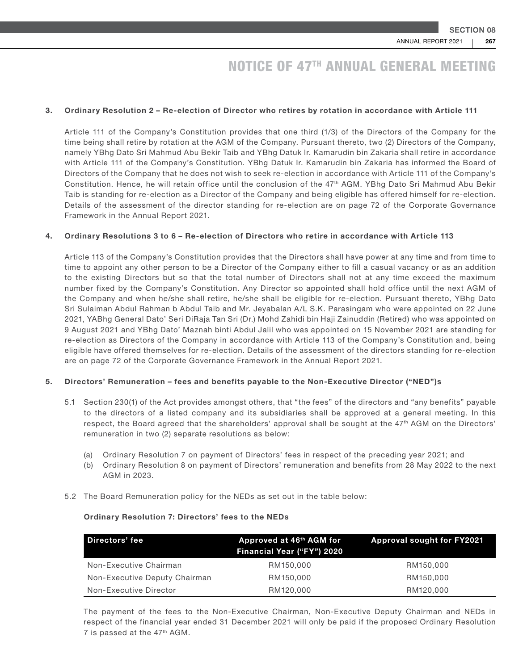#### 3. Ordinary Resolution 2 – Re-election of Director who retires by rotation in accordance with Article 111

Article 111 of the Company's Constitution provides that one third (1/3) of the Directors of the Company for the time being shall retire by rotation at the AGM of the Company. Pursuant thereto, two (2) Directors of the Company, namely YBhg Dato Sri Mahmud Abu Bekir Taib and YBhg Datuk Ir. Kamarudin bin Zakaria shall retire in accordance with Article 111 of the Company's Constitution. YBhg Datuk Ir. Kamarudin bin Zakaria has informed the Board of Directors of the Company that he does not wish to seek re-election in accordance with Article 111 of the Company's Constitution. Hence, he will retain office until the conclusion of the 47th AGM. YBhg Dato Sri Mahmud Abu Bekir Taib is standing for re-election as a Director of the Company and being eligible has offered himself for re-election. Details of the assessment of the director standing for re-election are on page 72 of the Corporate Governance Framework in the Annual Report 2021.

#### 4. Ordinary Resolutions 3 to 6 – Re-election of Directors who retire in accordance with Article 113

Article 113 of the Company's Constitution provides that the Directors shall have power at any time and from time to time to appoint any other person to be a Director of the Company either to fill a casual vacancy or as an addition to the existing Directors but so that the total number of Directors shall not at any time exceed the maximum number fixed by the Company's Constitution. Any Director so appointed shall hold office until the next AGM of the Company and when he/she shall retire, he/she shall be eligible for re-election. Pursuant thereto, YBhg Dato Sri Sulaiman Abdul Rahman b Abdul Taib and Mr. Jeyabalan A/L S.K. Parasingam who were appointed on 22 June 2021, YABhg General Dato' Seri DiRaja Tan Sri (Dr.) Mohd Zahidi bin Haji Zainuddin (Retired) who was appointed on 9 August 2021 and YBhg Dato' Maznah binti Abdul Jalil who was appointed on 15 November 2021 are standing for re-election as Directors of the Company in accordance with Article 113 of the Company's Constitution and, being eligible have offered themselves for re-election. Details of the assessment of the directors standing for re-election are on page 72 of the Corporate Governance Framework in the Annual Report 2021.

#### 5. Directors' Remuneration – fees and benefits payable to the Non-Executive Director ("NED")s

- 5.1 Section 230(1) of the Act provides amongst others, that "the fees" of the directors and "any benefits" payable to the directors of a listed company and its subsidiaries shall be approved at a general meeting. In this respect, the Board agreed that the shareholders' approval shall be sought at the 47<sup>th</sup> AGM on the Directors' remuneration in two (2) separate resolutions as below:
	- (a) Ordinary Resolution 7 on payment of Directors' fees in respect of the preceding year 2021; and
	- (b) Ordinary Resolution 8 on payment of Directors' remuneration and benefits from 28 May 2022 to the next AGM in 2023.
- 5.2 The Board Remuneration policy for the NEDs as set out in the table below:

#### Ordinary Resolution 7: Directors' fees to the NEDs

| Directors' fee                | Approved at 46 <sup>th</sup> AGM for<br>Financial Year ("FY") 2020 | <b>Approval sought for FY2021</b> |
|-------------------------------|--------------------------------------------------------------------|-----------------------------------|
| Non-Executive Chairman        | RM150,000                                                          | RM150,000                         |
| Non-Executive Deputy Chairman | RM150,000                                                          | RM150,000                         |
| Non-Executive Director        | RM120,000                                                          | RM120,000                         |

The payment of the fees to the Non-Executive Chairman, Non-Executive Deputy Chairman and NEDs in respect of the financial year ended 31 December 2021 will only be paid if the proposed Ordinary Resolution 7 is passed at the 47th AGM.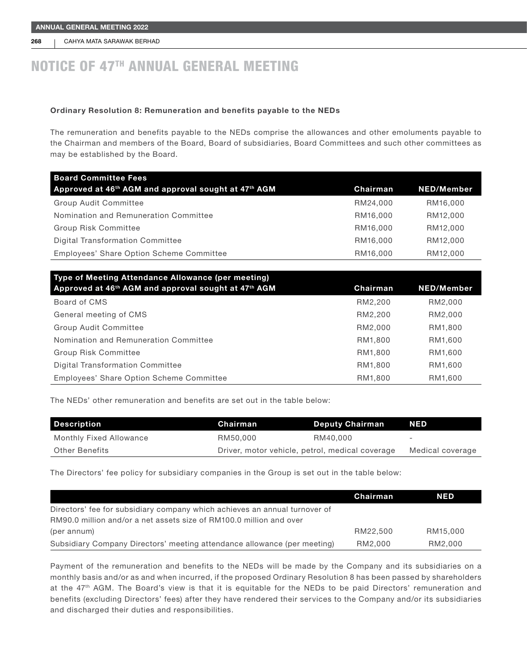268 | CAHYA MATA SARAWAK BERHAD

### NOTICE OF 47TH ANNUAL GENERAL MEETING

#### Ordinary Resolution 8: Remuneration and benefits payable to the NEDs

The remuneration and benefits payable to the NEDs comprise the allowances and other emoluments payable to the Chairman and members of the Board, Board of subsidiaries, Board Committees and such other committees as may be established by the Board.

| <b>Board Committee Fees</b><br>Approved at 46 <sup>th</sup> AGM and approval sought at 47 <sup>th</sup> AGM | Chairman | <b>NED/Member</b> |
|-------------------------------------------------------------------------------------------------------------|----------|-------------------|
| <b>Group Audit Committee</b>                                                                                | RM24,000 | RM16,000          |
| Nomination and Remuneration Committee                                                                       | RM16,000 | RM12,000          |
| <b>Group Risk Committee</b>                                                                                 | RM16,000 | RM12,000          |
| <b>Digital Transformation Committee</b>                                                                     | RM16,000 | RM12,000          |
| Employees' Share Option Scheme Committee                                                                    | RM16,000 | RM12,000          |

| Type of Meeting Attendance Allowance (per meeting)                           |          |                   |  |
|------------------------------------------------------------------------------|----------|-------------------|--|
| Approved at 46 <sup>th</sup> AGM and approval sought at 47 <sup>th</sup> AGM | Chairman | <b>NED/Member</b> |  |
| Board of CMS                                                                 | RM2,200  | RM2,000           |  |
| General meeting of CMS                                                       | RM2,200  | RM2,000           |  |
| <b>Group Audit Committee</b>                                                 | RM2,000  | RM1,800           |  |
| Nomination and Remuneration Committee                                        | RM1,800  | RM1,600           |  |
| <b>Group Risk Committee</b>                                                  | RM1,800  | RM1,600           |  |
| Digital Transformation Committee                                             | RM1,800  | RM1,600           |  |
| Employees' Share Option Scheme Committee                                     | RM1,800  | RM1,600           |  |

The NEDs' other remuneration and benefits are set out in the table below:

| <b>Description</b>      | Chairman                                        | Deputy Chairman | ZNEDZ                    |
|-------------------------|-------------------------------------------------|-----------------|--------------------------|
| Monthly Fixed Allowance | RM50.000                                        | RM40.000        | $\overline{\phantom{0}}$ |
| Other Benefits          | Driver, motor vehicle, petrol, medical coverage |                 | Medical coverage         |

The Directors' fee policy for subsidiary companies in the Group is set out in the table below:

|                                                                            | Chairman | <b>NED</b> |
|----------------------------------------------------------------------------|----------|------------|
| Directors' fee for subsidiary company which achieves an annual turnover of |          |            |
| RM90.0 million and/or a net assets size of RM100.0 million and over        |          |            |
| (per annum)                                                                | RM22.500 | RM15,000   |
| Subsidiary Company Directors' meeting attendance allowance (per meeting)   | RM2.000  | RM2.000    |

Payment of the remuneration and benefits to the NEDs will be made by the Company and its subsidiaries on a monthly basis and/or as and when incurred, if the proposed Ordinary Resolution 8 has been passed by shareholders at the 47<sup>th</sup> AGM. The Board's view is that it is equitable for the NEDs to be paid Directors' remuneration and benefits (excluding Directors' fees) after they have rendered their services to the Company and/or its subsidiaries and discharged their duties and responsibilities.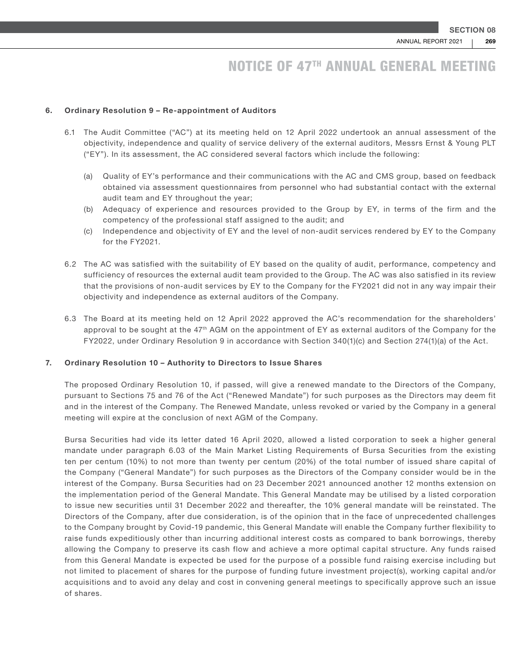#### 6. Ordinary Resolution 9 – Re-appointment of Auditors

- 6.1 The Audit Committee ("AC") at its meeting held on 12 April 2022 undertook an annual assessment of the objectivity, independence and quality of service delivery of the external auditors, Messrs Ernst & Young PLT ("EY"). In its assessment, the AC considered several factors which include the following:
	- (a) Quality of EY's performance and their communications with the AC and CMS group, based on feedback obtained via assessment questionnaires from personnel who had substantial contact with the external audit team and EY throughout the year;
	- (b) Adequacy of experience and resources provided to the Group by EY, in terms of the firm and the competency of the professional staff assigned to the audit; and
	- (c) Independence and objectivity of EY and the level of non-audit services rendered by EY to the Company for the FY2021.
- 6.2 The AC was satisfied with the suitability of EY based on the quality of audit, performance, competency and sufficiency of resources the external audit team provided to the Group. The AC was also satisfied in its review that the provisions of non-audit services by EY to the Company for the FY2021 did not in any way impair their objectivity and independence as external auditors of the Company.
- 6.3 The Board at its meeting held on 12 April 2022 approved the AC's recommendation for the shareholders' approval to be sought at the 47<sup>th</sup> AGM on the appointment of EY as external auditors of the Company for the FY2022, under Ordinary Resolution 9 in accordance with Section 340(1)(c) and Section 274(1)(a) of the Act.

#### 7. Ordinary Resolution 10 – Authority to Directors to Issue Shares

The proposed Ordinary Resolution 10, if passed, will give a renewed mandate to the Directors of the Company, pursuant to Sections 75 and 76 of the Act ("Renewed Mandate") for such purposes as the Directors may deem fit and in the interest of the Company. The Renewed Mandate, unless revoked or varied by the Company in a general meeting will expire at the conclusion of next AGM of the Company.

Bursa Securities had vide its letter dated 16 April 2020, allowed a listed corporation to seek a higher general mandate under paragraph 6.03 of the Main Market Listing Requirements of Bursa Securities from the existing ten per centum (10%) to not more than twenty per centum (20%) of the total number of issued share capital of the Company ("General Mandate") for such purposes as the Directors of the Company consider would be in the interest of the Company. Bursa Securities had on 23 December 2021 announced another 12 months extension on the implementation period of the General Mandate. This General Mandate may be utilised by a listed corporation to issue new securities until 31 December 2022 and thereafter, the 10% general mandate will be reinstated. The Directors of the Company, after due consideration, is of the opinion that in the face of unprecedented challenges to the Company brought by Covid-19 pandemic, this General Mandate will enable the Company further flexibility to raise funds expeditiously other than incurring additional interest costs as compared to bank borrowings, thereby allowing the Company to preserve its cash flow and achieve a more optimal capital structure. Any funds raised from this General Mandate is expected be used for the purpose of a possible fund raising exercise including but not limited to placement of shares for the purpose of funding future investment project(s), working capital and/or acquisitions and to avoid any delay and cost in convening general meetings to specifically approve such an issue of shares.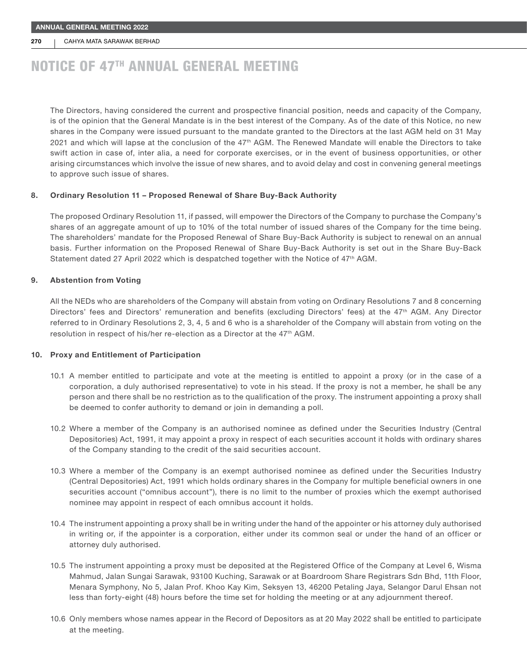#### 270 CAHYA MATA SARAWAK BERHAD

### NOTICE OF 47TH ANNUAL GENERAL MEETING

The Directors, having considered the current and prospective financial position, needs and capacity of the Company, is of the opinion that the General Mandate is in the best interest of the Company. As of the date of this Notice, no new shares in the Company were issued pursuant to the mandate granted to the Directors at the last AGM held on 31 May 2021 and which will lapse at the conclusion of the 47th AGM. The Renewed Mandate will enable the Directors to take swift action in case of, inter alia, a need for corporate exercises, or in the event of business opportunities, or other arising circumstances which involve the issue of new shares, and to avoid delay and cost in convening general meetings to approve such issue of shares.

#### 8. Ordinary Resolution 11 – Proposed Renewal of Share Buy-Back Authority

The proposed Ordinary Resolution 11, if passed, will empower the Directors of the Company to purchase the Company's shares of an aggregate amount of up to 10% of the total number of issued shares of the Company for the time being. The shareholders' mandate for the Proposed Renewal of Share Buy-Back Authority is subject to renewal on an annual basis. Further information on the Proposed Renewal of Share Buy-Back Authority is set out in the Share Buy-Back Statement dated 27 April 2022 which is despatched together with the Notice of 47th AGM.

#### 9. Abstention from Voting

All the NEDs who are shareholders of the Company will abstain from voting on Ordinary Resolutions 7 and 8 concerning Directors' fees and Directors' remuneration and benefits (excluding Directors' fees) at the 47th AGM. Any Director referred to in Ordinary Resolutions 2, 3, 4, 5 and 6 who is a shareholder of the Company will abstain from voting on the resolution in respect of his/her re-election as a Director at the 47th AGM.

#### 10. Proxy and Entitlement of Participation

- 10.1 A member entitled to participate and vote at the meeting is entitled to appoint a proxy (or in the case of a corporation, a duly authorised representative) to vote in his stead. If the proxy is not a member, he shall be any person and there shall be no restriction as to the qualification of the proxy. The instrument appointing a proxy shall be deemed to confer authority to demand or join in demanding a poll.
- 10.2 Where a member of the Company is an authorised nominee as defined under the Securities Industry (Central Depositories) Act, 1991, it may appoint a proxy in respect of each securities account it holds with ordinary shares of the Company standing to the credit of the said securities account.
- 10.3 Where a member of the Company is an exempt authorised nominee as defined under the Securities Industry (Central Depositories) Act, 1991 which holds ordinary shares in the Company for multiple beneficial owners in one securities account ("omnibus account"), there is no limit to the number of proxies which the exempt authorised nominee may appoint in respect of each omnibus account it holds.
- 10.4 The instrument appointing a proxy shall be in writing under the hand of the appointer or his attorney duly authorised in writing or, if the appointer is a corporation, either under its common seal or under the hand of an officer or attorney duly authorised.
- 10.5 The instrument appointing a proxy must be deposited at the Registered Office of the Company at Level 6, Wisma Mahmud, Jalan Sungai Sarawak, 93100 Kuching, Sarawak or at Boardroom Share Registrars Sdn Bhd, 11th Floor, Menara Symphony, No 5, Jalan Prof. Khoo Kay Kim, Seksyen 13, 46200 Petaling Jaya, Selangor Darul Ehsan not less than forty-eight (48) hours before the time set for holding the meeting or at any adjournment thereof.
- 10.6 Only members whose names appear in the Record of Depositors as at 20 May 2022 shall be entitled to participate at the meeting.